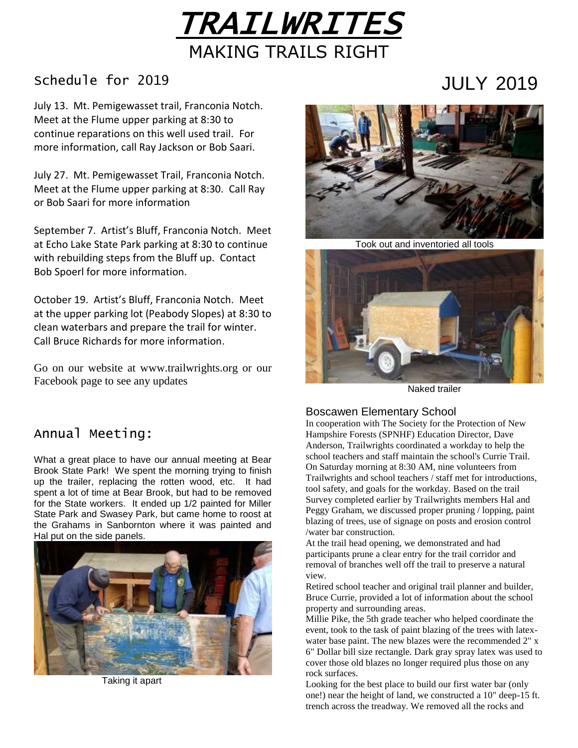

## Schedule for 2019

July 13. Mt. Pemigewasset trail, Franconia Notch. Meet at the Flume upper parking at 8:30 to continue reparations on this well used trail. For more information, call Ray Jackson or Bob Saari.

July 27. Mt. Pemigewasset Trail, Franconia Notch. Meet at the Flume upper parking at 8:30. Call Ray or Bob Saari for more information

September 7. Artist's Bluff, Franconia Notch. Meet at Echo Lake State Park parking at 8:30 to continue with rebuilding steps from the Bluff up. Contact Bob Spoerl for more information.

October 19. Artist's Bluff, Franconia Notch. Meet at the upper parking lot (Peabody Slopes) at 8:30 to clean waterbars and prepare the trail for winter. Call Bruce Richards for more information.

Go on our website at www.trailwrights.org or our Facebook page to see any updates



JULY 2019

Took out and inventoried all tools



Naked trailer

#### Boscawen Elementary School

In cooperation with The Society for the Protection of New Hampshire Forests (SPNHF) Education Director, Dave Anderson, Trailwrights coordinated a workday to help the school teachers and staff maintain the school's Currie Trail. On Saturday morning at 8:30 AM, nine volunteers from Trailwrights and school teachers / staff met for introductions, tool safety, and goals for the workday. Based on the trail Survey completed earlier by Trailwrights members Hal and Peggy Graham, we discussed proper pruning / lopping, paint blazing of trees, use of signage on posts and erosion control /water bar construction.

At the trail head opening, we demonstrated and had participants prune a clear entry for the trail corridor and removal of branches well off the trail to preserve a natural view.

Retired school teacher and original trail planner and builder, Bruce Currie, provided a lot of information about the school property and surrounding areas.

Millie Pike, the 5th grade teacher who helped coordinate the event, took to the task of paint blazing of the trees with latexwater base paint. The new blazes were the recommended 2" x 6" Dollar bill size rectangle. Dark gray spray latex was used to cover those old blazes no longer required plus those on any rock surfaces.

Looking for the best place to build our first water bar (only one!) near the height of land, we constructed a 10" deep-15 ft. trench across the treadway. We removed all the rocks and

### Annual Meeting:

What a great place to have our annual meeting at Bear Brook State Park! We spent the morning trying to finish up the trailer, replacing the rotten wood, etc. It had spent a lot of time at Bear Brook, but had to be removed for the State workers. It ended up 1/2 painted for Miller State Park and Swasey Park, but came home to roost at the Grahams in Sanbornton where it was painted and Hal put on the side panels.



Taking it apart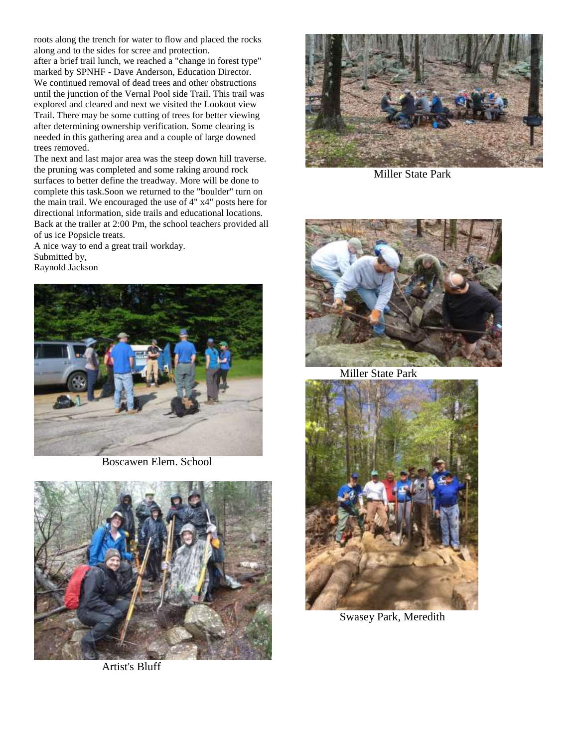roots along the trench for water to flow and placed the rocks along and to the sides for scree and protection. after a brief trail lunch, we reached a "change in forest type" marked by SPNHF - Dave Anderson, Education Director. We continued removal of dead trees and other obstructions until the junction of the Vernal Pool side Trail. This trail was explored and cleared and next we visited the Lookout view Trail. There may be some cutting of trees for better viewing after determining ownership verification. Some clearing is needed in this gathering area and a couple of large downed trees removed.

The next and last major area was the steep down hill traverse. the pruning was completed and some raking around rock surfaces to better define the treadway. More will be done to complete this task.Soon we returned to the "boulder" turn on the main trail. We encouraged the use of 4" x4" posts here for directional information, side trails and educational locations. Back at the trailer at 2:00 Pm, the school teachers provided all of us ice Popsicle treats.

A nice way to end a great trail workday. Submitted by, Raynold Jackson



Boscawen Elem. School



Artist's Bluff



Miller State Park



Miller State Park



Swasey Park, Meredith